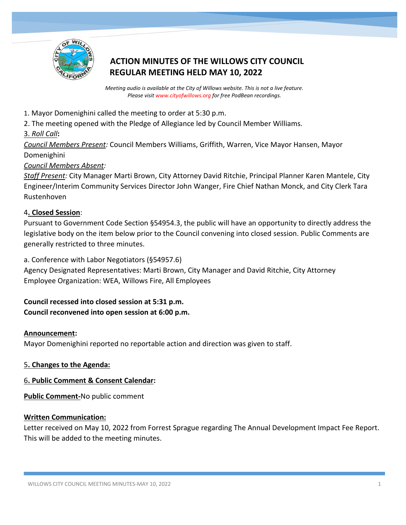

# **ACTION MINUTES OF THE WILLOWS CITY COUNCIL REGULAR MEETING HELD MAY 10, 2022**

*Meeting audio is available at the City of Willows website. This is not a live feature. Please visi[t www.cityofwillows.org](http://www.cityofwillows.org/) for free PodBean recordings.*

- 1. Mayor Domenighini called the meeting to order at 5:30 p.m.
- 2. The meeting opened with the Pledge of Allegiance led by Council Member Williams.

# 3. *Roll Call***:**

*Council Members Present:* Council Members Williams, Griffith, Warren, Vice Mayor Hansen, Mayor Domenighini

# *Council Members Absent:*

*Staff Present:* City Manager Marti Brown, City Attorney David Ritchie, Principal Planner Karen Mantele, City Engineer/Interim Community Services Director John Wanger, Fire Chief Nathan Monck, and City Clerk Tara Rustenhoven

# 4**. Closed Session**:

Pursuant to Government Code Section §54954.3, the public will have an opportunity to directly address the legislative body on the item below prior to the Council convening into closed session. Public Comments are generally restricted to three minutes.

a. Conference with Labor Negotiators (§54957.6)

Agency Designated Representatives: Marti Brown, City Manager and David Ritchie, City Attorney Employee Organization: WEA, Willows Fire, All Employees

**Council recessed into closed session at 5:31 p.m. Council reconvened into open session at 6:00 p.m.**

# **Announcement:**

Mayor Domenighini reported no reportable action and direction was given to staff.

# 5**. Changes to the Agenda:**

# 6**. Public Comment & Consent Calendar:**

**Public Comment-**No public comment

### **Written Communication:**

Letter received on May 10, 2022 from Forrest Sprague regarding The Annual Development Impact Fee Report. This will be added to the meeting minutes.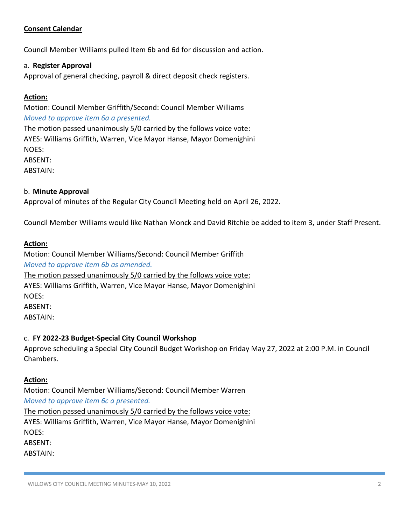# **Consent Calendar**

Council Member Williams pulled Item 6b and 6d for discussion and action.

### a. **Register Approval**

Approval of general checking, payroll & direct deposit check registers.

### **Action:**

Motion: Council Member Griffith/Second: Council Member Williams *Moved to approve item 6a a presented.* The motion passed unanimously 5/0 carried by the follows voice vote: AYES: Williams Griffith, Warren, Vice Mayor Hanse, Mayor Domenighini NOES: ABSENT: ABSTAIN:

### b. **Minute Approval**

Approval of minutes of the Regular City Council Meeting held on April 26, 2022.

Council Member Williams would like Nathan Monck and David Ritchie be added to item 3, under Staff Present.

#### **Action:**

Motion: Council Member Williams/Second: Council Member Griffith

*Moved to approve item 6b as amended.*

The motion passed unanimously 5/0 carried by the follows voice vote:

AYES: Williams Griffith, Warren, Vice Mayor Hanse, Mayor Domenighini NOES:

ABSENT:

ABSTAIN:

#### c. **FY 2022-23 Budget-Special City Council Workshop**

Approve scheduling a Special City Council Budget Workshop on Friday May 27, 2022 at 2:00 P.M. in Council Chambers.

#### **Action:**

Motion: Council Member Williams/Second: Council Member Warren *Moved to approve item 6c a presented.*

The motion passed unanimously 5/0 carried by the follows voice vote:

AYES: Williams Griffith, Warren, Vice Mayor Hanse, Mayor Domenighini

NOES:

ABSENT:

ABSTAIN: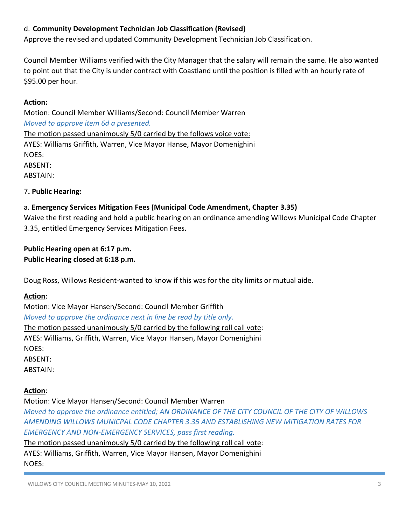# d. **Community Development Technician Job Classification (Revised)**

Approve the revised and updated Community Development Technician Job Classification.

Council Member Williams verified with the City Manager that the salary will remain the same. He also wanted to point out that the City is under contract with Coastland until the position is filled with an hourly rate of \$95.00 per hour.

### **Action:**

Motion: Council Member Williams/Second: Council Member Warren *Moved to approve item 6d a presented.* The motion passed unanimously 5/0 carried by the follows voice vote: AYES: Williams Griffith, Warren, Vice Mayor Hanse, Mayor Domenighini NOES: ABSENT: ABSTAIN:

#### 7**. Public Hearing:**

#### a. **Emergency Services Mitigation Fees (Municipal Code Amendment, Chapter 3.35)**

Waive the first reading and hold a public hearing on an ordinance amending Willows Municipal Code Chapter 3.35, entitled Emergency Services Mitigation Fees.

**Public Hearing open at 6:17 p.m. Public Hearing closed at 6:18 p.m.**

Doug Ross, Willows Resident-wanted to know if this was for the city limits or mutual aide.

#### **Action**:

Motion: Vice Mayor Hansen/Second: Council Member Griffith *Moved to approve the ordinance next in line be read by title only.*  The motion passed unanimously 5/0 carried by the following roll call vote: AYES: Williams, Griffith, Warren, Vice Mayor Hansen, Mayor Domenighini NOES: ABSENT:

ABSTAIN:

#### **Action**:

Motion: Vice Mayor Hansen/Second: Council Member Warren

*Moved to approve the ordinance entitled; AN ORDINANCE OF THE CITY COUNCIL OF THE CITY OF WILLOWS AMENDING WILLOWS MUNICPAL CODE CHAPTER 3.35 AND ESTABLISHING NEW MITIGATION RATES FOR EMERGENCY AND NON-EMERGENCY SERVICES, pass first reading.* 

The motion passed unanimously 5/0 carried by the following roll call vote:

AYES: Williams, Griffith, Warren, Vice Mayor Hansen, Mayor Domenighini NOES: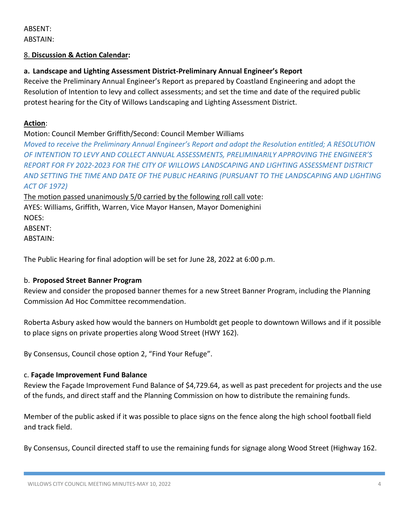ABSENT: ABSTAIN:

# 8. **Discussion & Action Calendar:**

# **a. Landscape and Lighting Assessment District-Preliminary Annual Engineer's Report**

Receive the Preliminary Annual Engineer's Report as prepared by Coastland Engineering and adopt the Resolution of Intention to levy and collect assessments; and set the time and date of the required public protest hearing for the City of Willows Landscaping and Lighting Assessment District.

### **Action**:

# Motion: Council Member Griffith/Second: Council Member Williams

*Moved to receive the Preliminary Annual Engineer's Report and adopt the Resolution entitled; A RESOLUTION OF INTENTION TO LEVY AND COLLECT ANNUAL ASSESSMENTS, PRELIMINARILY APPROVING THE ENGINEER'S REPORT FOR FY 2022-2023 FOR THE CITY OF WILLOWS LANDSCAPING AND LIGHTING ASSESSMENT DISTRICT AND SETTING THE TIME AND DATE OF THE PUBLIC HEARING (PURSUANT TO THE LANDSCAPING AND LIGHTING ACT OF 1972)*

The motion passed unanimously 5/0 carried by the following roll call vote: AYES: Williams, Griffith, Warren, Vice Mayor Hansen, Mayor Domenighini NOES: ABSENT: ABSTAIN:

The Public Hearing for final adoption will be set for June 28, 2022 at 6:00 p.m.

### b. **Proposed Street Banner Program**

Review and consider the proposed banner themes for a new Street Banner Program, including the Planning Commission Ad Hoc Committee recommendation.

Roberta Asbury asked how would the banners on Humboldt get people to downtown Willows and if it possible to place signs on private properties along Wood Street (HWY 162).

By Consensus, Council chose option 2, "Find Your Refuge".

### c. **Façade Improvement Fund Balance**

Review the Façade Improvement Fund Balance of \$4,729.64, as well as past precedent for projects and the use of the funds, and direct staff and the Planning Commission on how to distribute the remaining funds.

Member of the public asked if it was possible to place signs on the fence along the high school football field and track field.

By Consensus, Council directed staff to use the remaining funds for signage along Wood Street (Highway 162.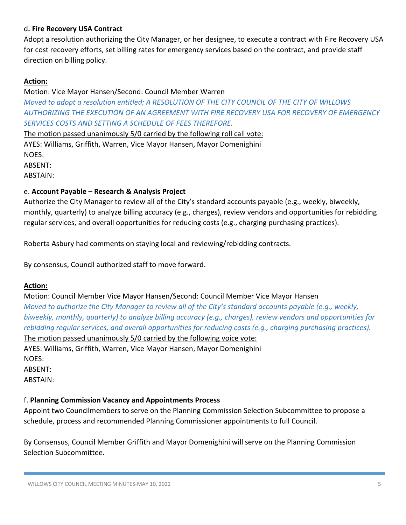# d**. Fire Recovery USA Contract**

Adopt a resolution authorizing the City Manager, or her designee, to execute a contract with Fire Recovery USA for cost recovery efforts, set billing rates for emergency services based on the contract, and provide staff direction on billing policy.

# **Action:**

Motion: Vice Mayor Hansen/Second: Council Member Warren

*Moved to adopt a resolution entitled; A RESOLUTION OF THE CITY COUNCIL OF THE CITY OF WILLOWS AUTHORIZING THE EXECUTION OF AN AGREEMENT WITH FIRE RECOVERY USA FOR RECOVERY OF EMERGENCY SERVICES COSTS AND SETTING A SCHEDULE OF FEES THEREFORE.* 

The motion passed unanimously 5/0 carried by the following roll call vote:

AYES: Williams, Griffith, Warren, Vice Mayor Hansen, Mayor Domenighini NOES: ABSENT:

ABSTAIN:

### e. **Account Payable – Research & Analysis Project**

Authorize the City Manager to review all of the City's standard accounts payable (e.g., weekly, biweekly, monthly, quarterly) to analyze billing accuracy (e.g., charges), review vendors and opportunities for rebidding regular services, and overall opportunities for reducing costs (e.g., charging purchasing practices).

Roberta Asbury had comments on staying local and reviewing/rebidding contracts.

By consensus, Council authorized staff to move forward.

### **Action:**

Motion: Council Member Vice Mayor Hansen/Second: Council Member Vice Mayor Hansen *Moved to authorize the City Manager to review all of the City's standard accounts payable (e.g., weekly, biweekly, monthly, quarterly) to analyze billing accuracy (e.g., charges), review vendors and opportunities for rebidding regular services, and overall opportunities for reducing costs (e.g., charging purchasing practices).*  The motion passed unanimously 5/0 carried by the following voice vote: AYES: Williams, Griffith, Warren, Vice Mayor Hansen, Mayor Domenighini NOES: ABSENT: ABSTAIN:

### f. **Planning Commission Vacancy and Appointments Process**

Appoint two Councilmembers to serve on the Planning Commission Selection Subcommittee to propose a schedule, process and recommended Planning Commissioner appointments to full Council.

By Consensus, Council Member Griffith and Mayor Domenighini will serve on the Planning Commission Selection Subcommittee.